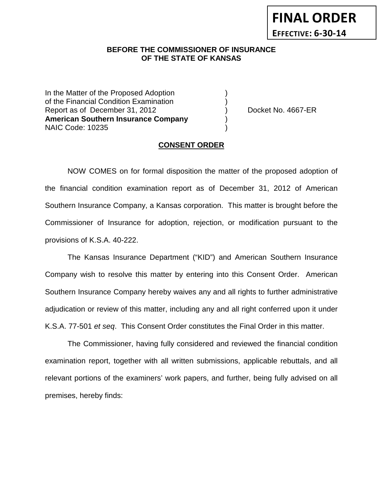## **BEFORE THE COMMISSIONER OF INSURANCE OF THE STATE OF KANSAS**

In the Matter of the Proposed Adoption of the Financial Condition Examination ) Report as of December 31, 2012 (and Separation Contract Area Pooket No. 4667-ER **American Southern Insurance Company** ) NAIC Code: 10235 )

#### **CONSENT ORDER**

NOW COMES on for formal disposition the matter of the proposed adoption of the financial condition examination report as of December 31, 2012 of American Southern Insurance Company, a Kansas corporation. This matter is brought before the Commissioner of Insurance for adoption, rejection, or modification pursuant to the provisions of K.S.A. 40-222.

The Kansas Insurance Department ("KID") and American Southern Insurance Company wish to resolve this matter by entering into this Consent Order. American Southern Insurance Company hereby waives any and all rights to further administrative adjudication or review of this matter, including any and all right conferred upon it under K.S.A. 77-501 *et seq*. This Consent Order constitutes the Final Order in this matter.

The Commissioner, having fully considered and reviewed the financial condition examination report, together with all written submissions, applicable rebuttals, and all relevant portions of the examiners' work papers, and further, being fully advised on all premises, hereby finds: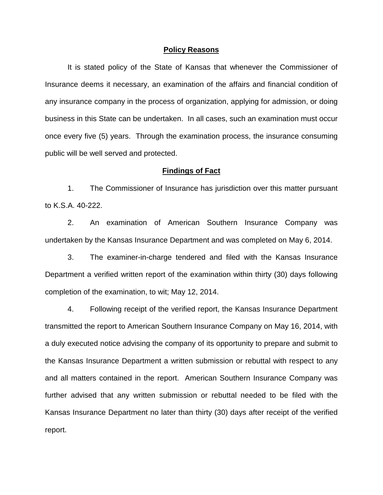#### **Policy Reasons**

It is stated policy of the State of Kansas that whenever the Commissioner of Insurance deems it necessary, an examination of the affairs and financial condition of any insurance company in the process of organization, applying for admission, or doing business in this State can be undertaken. In all cases, such an examination must occur once every five (5) years. Through the examination process, the insurance consuming public will be well served and protected.

#### **Findings of Fact**

1. The Commissioner of Insurance has jurisdiction over this matter pursuant to K.S.A. 40-222.

2. An examination of American Southern Insurance Company was undertaken by the Kansas Insurance Department and was completed on May 6, 2014.

3. The examiner-in-charge tendered and filed with the Kansas Insurance Department a verified written report of the examination within thirty (30) days following completion of the examination, to wit; May 12, 2014.

4. Following receipt of the verified report, the Kansas Insurance Department transmitted the report to American Southern Insurance Company on May 16, 2014, with a duly executed notice advising the company of its opportunity to prepare and submit to the Kansas Insurance Department a written submission or rebuttal with respect to any and all matters contained in the report. American Southern Insurance Company was further advised that any written submission or rebuttal needed to be filed with the Kansas Insurance Department no later than thirty (30) days after receipt of the verified report.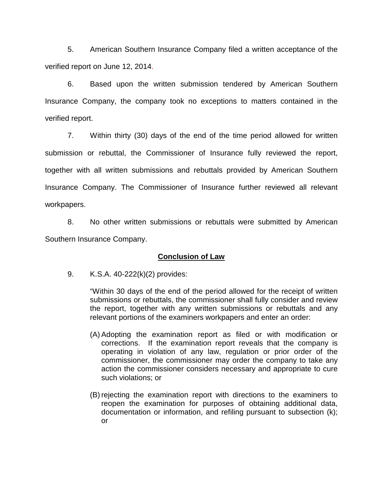5. American Southern Insurance Company filed a written acceptance of the verified report on June 12, 2014.

6. Based upon the written submission tendered by American Southern Insurance Company, the company took no exceptions to matters contained in the verified report.

7. Within thirty (30) days of the end of the time period allowed for written submission or rebuttal, the Commissioner of Insurance fully reviewed the report, together with all written submissions and rebuttals provided by American Southern Insurance Company. The Commissioner of Insurance further reviewed all relevant workpapers.

8. No other written submissions or rebuttals were submitted by American Southern Insurance Company.

# **Conclusion of Law**

9. K.S.A. 40-222(k)(2) provides:

"Within 30 days of the end of the period allowed for the receipt of written submissions or rebuttals, the commissioner shall fully consider and review the report, together with any written submissions or rebuttals and any relevant portions of the examiners workpapers and enter an order:

- (A) Adopting the examination report as filed or with modification or corrections. If the examination report reveals that the company is operating in violation of any law, regulation or prior order of the commissioner, the commissioner may order the company to take any action the commissioner considers necessary and appropriate to cure such violations; or
- (B) rejecting the examination report with directions to the examiners to reopen the examination for purposes of obtaining additional data, documentation or information, and refiling pursuant to subsection (k); or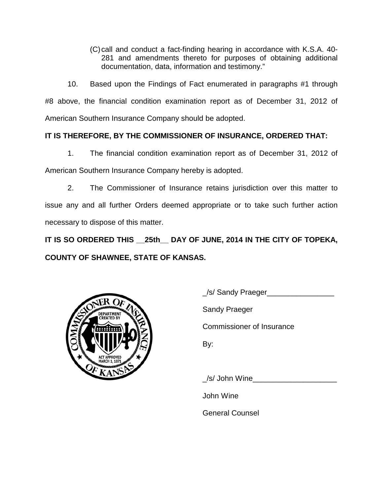(C)call and conduct a fact-finding hearing in accordance with K.S.A. 40- 281 and amendments thereto for purposes of obtaining additional documentation, data, information and testimony."

10. Based upon the Findings of Fact enumerated in paragraphs #1 through #8 above, the financial condition examination report as of December 31, 2012 of American Southern Insurance Company should be adopted.

# **IT IS THEREFORE, BY THE COMMISSIONER OF INSURANCE, ORDERED THAT:**

1. The financial condition examination report as of December 31, 2012 of American Southern Insurance Company hereby is adopted.

2. The Commissioner of Insurance retains jurisdiction over this matter to issue any and all further Orders deemed appropriate or to take such further action necessary to dispose of this matter.

**IT IS SO ORDERED THIS \_\_25th\_\_ DAY OF JUNE, 2014 IN THE CITY OF TOPEKA, COUNTY OF SHAWNEE, STATE OF KANSAS.**



\_/s/ Sandy Praeger\_\_\_\_\_\_\_\_\_\_\_\_\_\_\_\_

Sandy Praeger

Commissioner of Insurance

By:

/s/ John Wine

John Wine

General Counsel